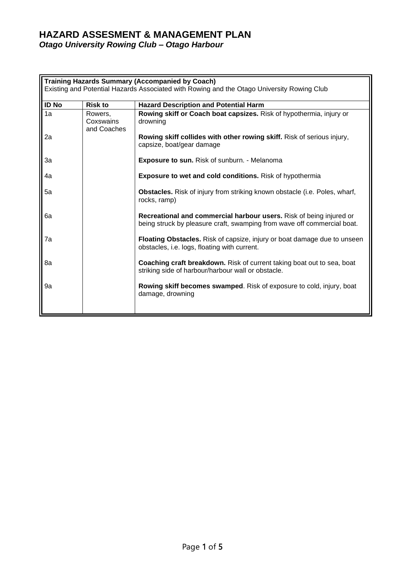## **HAZARD ASSESMENT & MANAGEMENT PLAN** *Otago University Rowing Club – Otago Harbour*

| <b>Training Hazards Summary (Accompanied by Coach)</b><br>Existing and Potential Hazards Associated with Rowing and the Otago University Rowing Club |                                     |                                                                                                                                                |  |  |
|------------------------------------------------------------------------------------------------------------------------------------------------------|-------------------------------------|------------------------------------------------------------------------------------------------------------------------------------------------|--|--|
| <b>ID No</b>                                                                                                                                         | <b>Risk to</b>                      | <b>Hazard Description and Potential Harm</b>                                                                                                   |  |  |
| $\overline{1a}$                                                                                                                                      | Rowers,<br>Coxswains<br>and Coaches | Rowing skiff or Coach boat capsizes. Risk of hypothermia, injury or<br>drowning                                                                |  |  |
| 2a                                                                                                                                                   |                                     | Rowing skiff collides with other rowing skiff. Risk of serious injury,<br>capsize, boat/gear damage                                            |  |  |
| 3a                                                                                                                                                   |                                     | <b>Exposure to sun.</b> Risk of sunburn. - Melanoma                                                                                            |  |  |
| 4a                                                                                                                                                   |                                     | <b>Exposure to wet and cold conditions.</b> Risk of hypothermia                                                                                |  |  |
| 5a                                                                                                                                                   |                                     | <b>Obstacles.</b> Risk of injury from striking known obstacle (i.e. Poles, wharf,<br>rocks, ramp)                                              |  |  |
| 6а                                                                                                                                                   |                                     | Recreational and commercial harbour users. Risk of being injured or<br>being struck by pleasure craft, swamping from wave off commercial boat. |  |  |
| 7a                                                                                                                                                   |                                     | Floating Obstacles. Risk of capsize, injury or boat damage due to unseen<br>obstacles, i.e. logs, floating with current.                       |  |  |
| 8a                                                                                                                                                   |                                     | <b>Coaching craft breakdown.</b> Risk of current taking boat out to sea, boat<br>striking side of harbour/harbour wall or obstacle.            |  |  |
| 9a                                                                                                                                                   |                                     | <b>Rowing skiff becomes swamped.</b> Risk of exposure to cold, injury, boat<br>damage, drowning                                                |  |  |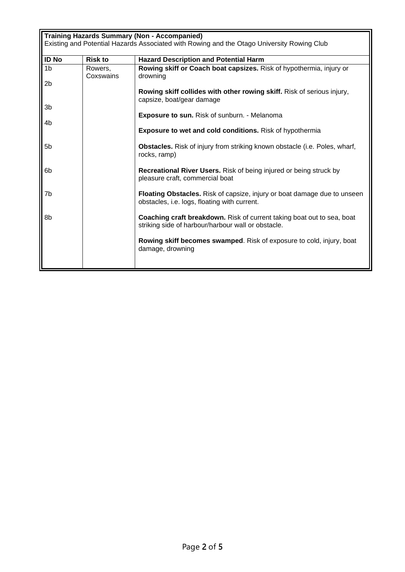| <b>Training Hazards Summary (Non - Accompanied)</b><br>Existing and Potential Hazards Associated with Rowing and the Otago University Rowing Club |                      |                                                                                                                                 |  |  |
|---------------------------------------------------------------------------------------------------------------------------------------------------|----------------------|---------------------------------------------------------------------------------------------------------------------------------|--|--|
| <b>ID No</b>                                                                                                                                      | <b>Risk to</b>       | <b>Hazard Description and Potential Harm</b>                                                                                    |  |  |
| 1 <sub>b</sub>                                                                                                                                    | Rowers,<br>Coxswains | Rowing skiff or Coach boat capsizes. Risk of hypothermia, injury or<br>drowning                                                 |  |  |
| 2b                                                                                                                                                |                      |                                                                                                                                 |  |  |
|                                                                                                                                                   |                      | Rowing skiff collides with other rowing skiff. Risk of serious injury,<br>capsize, boat/gear damage                             |  |  |
| 3 <sub>b</sub>                                                                                                                                    |                      |                                                                                                                                 |  |  |
|                                                                                                                                                   |                      | Exposure to sun. Risk of sunburn. - Melanoma                                                                                    |  |  |
| 4h                                                                                                                                                |                      | <b>Exposure to wet and cold conditions.</b> Risk of hypothermia                                                                 |  |  |
| 5 <sub>b</sub>                                                                                                                                    |                      | <b>Obstacles.</b> Risk of injury from striking known obstacle (i.e. Poles, wharf,<br>rocks, ramp)                               |  |  |
| 6b                                                                                                                                                |                      | Recreational River Users. Risk of being injured or being struck by<br>pleasure craft, commercial boat                           |  |  |
| 7b                                                                                                                                                |                      | <b>Floating Obstacles.</b> Risk of capsize, injury or boat damage due to unseen<br>obstacles, i.e. logs, floating with current. |  |  |
| 8b                                                                                                                                                |                      | Coaching craft breakdown. Risk of current taking boat out to sea, boat<br>striking side of harbour/harbour wall or obstacle.    |  |  |
|                                                                                                                                                   |                      | <b>Rowing skiff becomes swamped.</b> Risk of exposure to cold, injury, boat<br>damage, drowning                                 |  |  |
|                                                                                                                                                   |                      |                                                                                                                                 |  |  |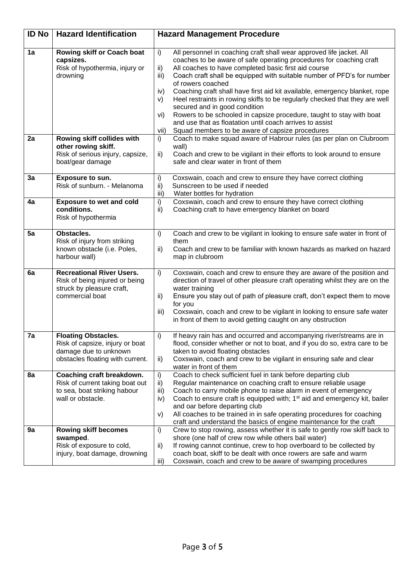| <b>ID No</b> | <b>Hazard Identification</b>                                                                                               | <b>Hazard Management Procedure</b>                                                                                                                                                                                                                                                                                                                                                                                                                                                                                                                                                                                                                                                                                                                 |
|--------------|----------------------------------------------------------------------------------------------------------------------------|----------------------------------------------------------------------------------------------------------------------------------------------------------------------------------------------------------------------------------------------------------------------------------------------------------------------------------------------------------------------------------------------------------------------------------------------------------------------------------------------------------------------------------------------------------------------------------------------------------------------------------------------------------------------------------------------------------------------------------------------------|
| 1a           | Rowing skiff or Coach boat<br>capsizes.<br>Risk of hypothermia, injury or<br>drowning                                      | All personnel in coaching craft shall wear approved life jacket. All<br>$\mathsf{i}$<br>coaches to be aware of safe operating procedures for coaching craft<br>All coaches to have completed basic first aid course<br>ii)<br>Coach craft shall be equipped with suitable number of PFD's for number<br>iii)<br>of rowers coached<br>iv)<br>Coaching craft shall have first aid kit available, emergency blanket, rope<br>Heel restraints in rowing skiffs to be regularly checked that they are well<br>V)<br>secured and in good condition<br>Rowers to be schooled in capsize procedure, taught to stay with boat<br>vi)<br>and use that as floatation until coach arrives to assist<br>Squad members to be aware of capsize procedures<br>vii) |
| 2a           | Rowing skiff collides with<br>other rowing skiff.<br>Risk of serious injury, capsize,<br>boat/gear damage                  | Coach to make squad aware of Habrour rules (as per plan on Clubroom<br>i)<br>wall)<br>$\mathsf{ii}$<br>Coach and crew to be vigilant in their efforts to look around to ensure<br>safe and clear water in front of them                                                                                                                                                                                                                                                                                                                                                                                                                                                                                                                            |
| 3a           | Exposure to sun.<br>Risk of sunburn. - Melanoma                                                                            | i)<br>Coxswain, coach and crew to ensure they have correct clothing<br>ii)<br>Sunscreen to be used if needed<br>iii)<br>Water bottles for hydration                                                                                                                                                                                                                                                                                                                                                                                                                                                                                                                                                                                                |
| 4a           | <b>Exposure to wet and cold</b><br>conditions.<br>Risk of hypothermia                                                      | i)<br>Coxswain, coach and crew to ensure they have correct clothing<br>ii)<br>Coaching craft to have emergency blanket on board                                                                                                                                                                                                                                                                                                                                                                                                                                                                                                                                                                                                                    |
| 5a           | Obstacles.<br>Risk of injury from striking<br>known obstacle (i.e. Poles,<br>harbour wall)                                 | i)<br>Coach and crew to be vigilant in looking to ensure safe water in front of<br>them<br>Coach and crew to be familiar with known hazards as marked on hazard<br>ii)<br>map in clubroom                                                                                                                                                                                                                                                                                                                                                                                                                                                                                                                                                          |
| 6a           | <b>Recreational River Users.</b><br>Risk of being injured or being<br>struck by pleasure craft,<br>commercial boat         | Coxswain, coach and crew to ensure they are aware of the position and<br>i)<br>direction of travel of other pleasure craft operating whilst they are on the<br>water training<br>ii)<br>Ensure you stay out of path of pleasure craft, don't expect them to move<br>for you<br>iii)<br>Coxswain, coach and crew to be vigilant in looking to ensure safe water<br>in front of them to avoid getting caught on any obstruction                                                                                                                                                                                                                                                                                                                      |
| 7a           | <b>Floating Obstacles.</b><br>Risk of capsize, injury or boat<br>damage due to unknown<br>obstacles floating with current. | i)<br>If heavy rain has and occurred and accompanying river/streams are in<br>flood, consider whether or not to boat, and if you do so, extra care to be<br>taken to avoid floating obstacles<br>Coxswain, coach and crew to be vigilant in ensuring safe and clear<br>ii)<br>water in front of them                                                                                                                                                                                                                                                                                                                                                                                                                                               |
| 8a           | Coaching craft breakdown.<br>Risk of current taking boat out<br>to sea, boat striking habour<br>wall or obstacle.          | Coach to check sufficient fuel in tank before departing club<br>$\mathsf{i}$<br>Regular maintenance on coaching craft to ensure reliable usage<br>ii)<br>Coach to carry mobile phone to raise alarm in event of emergency<br>iii)<br>Coach to ensure craft is equipped with; 1 <sup>st</sup> aid and emergency kit, bailer<br>iv)<br>and oar before departing club<br>All coaches to be trained in in safe operating procedures for coaching<br>V)<br>craft and understand the basics of engine maintenance for the craft                                                                                                                                                                                                                          |
| 9a           | <b>Rowing skiff becomes</b><br>swamped.<br>Risk of exposure to cold,<br>injury, boat damage, drowning                      | $\mathsf{i}$<br>Crew to stop rowing, assess whether it is safe to gently row skiff back to<br>shore (one half of crew row while others bail water)<br>If rowing cannot continue, crew to hop overboard to be collected by<br>ii)<br>coach boat, skiff to be dealt with once rowers are safe and warm<br>Coxswain, coach and crew to be aware of swamping procedures<br>iii)                                                                                                                                                                                                                                                                                                                                                                        |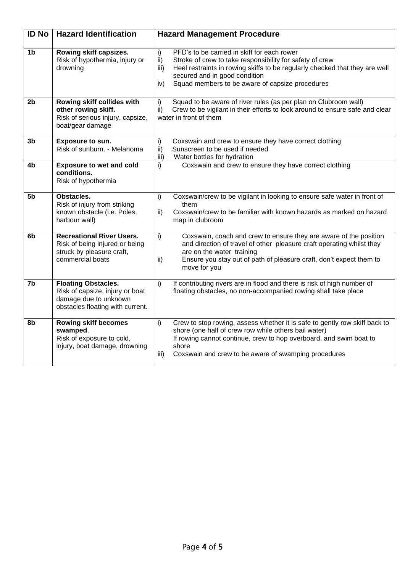| <b>ID No</b>   | <b>Hazard Identification</b>                                                                                               | <b>Hazard Management Procedure</b>                                                                                                                                                                                                                                                                     |
|----------------|----------------------------------------------------------------------------------------------------------------------------|--------------------------------------------------------------------------------------------------------------------------------------------------------------------------------------------------------------------------------------------------------------------------------------------------------|
| 1 <sub>b</sub> | Rowing skiff capsizes.<br>Risk of hypothermia, injury or<br>drowning                                                       | i)<br>PFD's to be carried in skiff for each rower<br>Stroke of crew to take responsibility for safety of crew<br>ii)<br>Heel restraints in rowing skiffs to be regularly checked that they are well<br>iii)<br>secured and in good condition<br>Squad members to be aware of capsize procedures<br>iv) |
| 2 <sub>b</sub> | Rowing skiff collides with<br>other rowing skiff.<br>Risk of serious injury, capsize,<br>boat/gear damage                  | Squad to be aware of river rules (as per plan on Clubroom wall)<br>i)<br>Crew to be vigilant in their efforts to look around to ensure safe and clear<br>ii)<br>water in front of them                                                                                                                 |
| 3b             | Exposure to sun.<br>Risk of sunburn. - Melanoma                                                                            | i)<br>Coxswain and crew to ensure they have correct clothing<br>Sunscreen to be used if needed<br>ii)<br>Water bottles for hydration<br>iii)                                                                                                                                                           |
| 4b             | <b>Exposure to wet and cold</b><br>conditions.<br>Risk of hypothermia                                                      | i)<br>Coxswain and crew to ensure they have correct clothing                                                                                                                                                                                                                                           |
| 5 <sub>b</sub> | Obstacles.<br>Risk of injury from striking<br>known obstacle (i.e. Poles,<br>harbour wall)                                 | Coxswain/crew to be vigilant in looking to ensure safe water in front of<br>i)<br>them<br>Coxswain/crew to be familiar with known hazards as marked on hazard<br>ii)<br>map in clubroom                                                                                                                |
| 6b             | <b>Recreational River Users.</b><br>Risk of being injured or being<br>struck by pleasure craft,<br>commercial boats        | Coxswain, coach and crew to ensure they are aware of the position<br>i)<br>and direction of travel of other pleasure craft operating whilst they<br>are on the water training<br>ii)<br>Ensure you stay out of path of pleasure craft, don't expect them to<br>move for you                            |
| 7b             | <b>Floating Obstacles.</b><br>Risk of capsize, injury or boat<br>damage due to unknown<br>obstacles floating with current. | If contributing rivers are in flood and there is risk of high number of<br>$\mathsf{i}$<br>floating obstacles, no non-accompanied rowing shall take place                                                                                                                                              |
| 8b             | <b>Rowing skiff becomes</b><br>swamped.<br>Risk of exposure to cold,<br>injury, boat damage, drowning                      | Crew to stop rowing, assess whether it is safe to gently row skiff back to<br>i)<br>shore (one half of crew row while others bail water)<br>If rowing cannot continue, crew to hop overboard, and swim boat to<br>shore<br>Coxswain and crew to be aware of swamping procedures<br>iii)                |